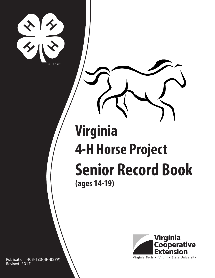

# **Virginia 4-H Horse Project Senior Record Book (ages 14-19)**



Publication 406-123(4H-837P) Revised 2017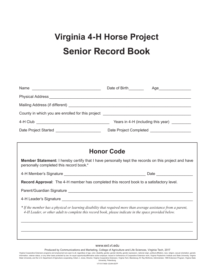## **Virginia 4-H Horse Project Senior Record Book**

|                                                                                                                                                                                                                          | <b>Honor Code</b> |  |
|--------------------------------------------------------------------------------------------------------------------------------------------------------------------------------------------------------------------------|-------------------|--|
| <b>Member Statement:</b> I hereby certify that I have personally kept the records on this project and have<br>personally completed this record book.*                                                                    |                   |  |
|                                                                                                                                                                                                                          |                   |  |
| Record Approval: The 4-H member has completed this record book to a satisfactory level.                                                                                                                                  |                   |  |
|                                                                                                                                                                                                                          |                   |  |
|                                                                                                                                                                                                                          |                   |  |
| * If the member has a physical or learning disability that required more than average assistance from a parent,<br>4-H Leader, or other adult to complete this record book, please indicate in the space provided below. |                   |  |
|                                                                                                                                                                                                                          |                   |  |
|                                                                                                                                                                                                                          |                   |  |

#### www.ext.vt.edu

Produced by Communications and Marketing, College of Agriculture and Life Sciences, Virginia Tech, 2017

Virginia Cooperative Extension programs and employment are open to all, regardless of age, color, disability, gender, gender identity, gender expression, national origin, political affiliation, race, religion, sexual orien information, veteran status, or any other basis protected by law. An equal opportunity/affirmative action employer. Issued in furtherance of Cooperative Extension work, Virginia Polytechnic Institute and State University, University, Petersburg. VT/1017/406-123/4H-837P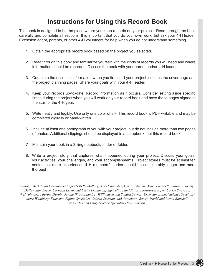### **Instructions for Using this Record Book**

This book is designed to be the place where you keep records on your project. Read through the book carefully and complete all sections. It is important that you do your own work, but ask your 4-H leader, Extension agent, parents, or other 4-H volunteers for help when you do not understand something.

- 1. Obtain the appropriate record book based on the project you selected.
- 2. Read through this book and familiarize yourself with the kinds of records you will need and where information should be recorded. Discuss the book with your parent and/or 4-H leader.
- 3. Complete the essential information when you first start your project, such as the cover page and the project planning pages. Share your goals with your 4-H leader.
- 4. Keep your records up-to-date. Record information as it occurs. Consider setting aside specific times during the project when you will work on your record book and have those pages signed at the start of the 4-H year.
- 5. Write neatly and legibly. Use only one color of ink. This record book is PDF writable and may be completed digitally or hand-written.
- 6. Include at least one photograph of you with your project, but do not include more than two pages of photos. Additional clippings should be displayed in a scrapbook, not this record book.
- 7. Maintain your book in a 3-ring notebook/binder or folder.
- 8. Write a project story that captures what happened during your project. Discuss your goals, your activities, your challenges, and your accomplishments. Project stories must be at least ten sentences; more experienced 4-H members' stories should be considerably longer and more thorough.

*Authors: 4-H Youth Development Agents Kelly Mallory, Kaci Coppedge, Cyndi Estienne, Mary Elizabeth Williams, Jocelyn Dailey, Sam Leech, Cornelia Estep, and Leslie Prillaman; Agriculture and Natural Resources Agent Carrie Swanson; 4-H volunteers Bertha Durbin, Janine Wilson, Lindsey Williamson and Sandra Turner; Extension Animal Science Specialist Mark Wahlberg; Extension Equine Specialist, Celeste Crisman, and Associates, Sandy Arnold and Leona Ransdell; and Extension Dairy Science Specialist Dave Winston.*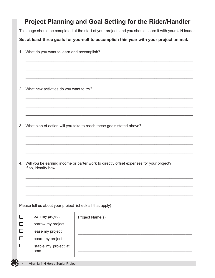### **Project Planning and Goal Setting for the Rider/Handler**

This page should be completed at the start of your project, and you should share it with your 4-H leader.

\_\_\_\_\_\_\_\_\_\_\_\_\_\_\_\_\_\_\_\_\_\_\_\_\_\_\_\_\_\_\_\_\_\_\_\_\_\_\_\_\_\_\_\_\_\_\_\_\_\_\_\_\_\_\_\_\_\_\_\_\_\_\_\_\_\_\_\_\_\_\_\_\_\_\_\_\_\_

\_\_\_\_\_\_\_\_\_\_\_\_\_\_\_\_\_\_\_\_\_\_\_\_\_\_\_\_\_\_\_\_\_\_\_\_\_\_\_\_\_\_\_\_\_\_\_\_\_\_\_\_\_\_\_\_\_\_\_\_\_\_\_\_\_\_\_\_\_\_\_\_\_\_\_\_\_\_

\_\_\_\_\_\_\_\_\_\_\_\_\_\_\_\_\_\_\_\_\_\_\_\_\_\_\_\_\_\_\_\_\_\_\_\_\_\_\_\_\_\_\_\_\_\_\_\_\_\_\_\_\_\_\_\_\_\_\_\_\_\_\_\_\_\_\_\_\_\_\_\_\_\_\_\_\_\_

\_\_\_\_\_\_\_\_\_\_\_\_\_\_\_\_\_\_\_\_\_\_\_\_\_\_\_\_\_\_\_\_\_\_\_\_\_\_\_\_\_\_\_\_\_\_\_\_\_\_\_\_\_\_\_\_\_\_\_\_\_\_\_\_\_\_\_\_\_\_\_\_\_\_\_\_\_\_

\_\_\_\_\_\_\_\_\_\_\_\_\_\_\_\_\_\_\_\_\_\_\_\_\_\_\_\_\_\_\_\_\_\_\_\_\_\_\_\_\_\_\_\_\_\_\_\_\_\_\_\_\_\_\_\_\_\_\_\_\_\_\_\_\_\_\_\_\_\_\_\_\_\_\_\_\_\_

\_\_\_\_\_\_\_\_\_\_\_\_\_\_\_\_\_\_\_\_\_\_\_\_\_\_\_\_\_\_\_\_\_\_\_\_\_\_\_\_\_\_\_\_\_\_\_\_\_\_\_\_\_\_\_\_\_\_\_\_\_\_\_\_\_\_\_\_\_\_\_\_\_\_\_\_\_\_

\_\_\_\_\_\_\_\_\_\_\_\_\_\_\_\_\_\_\_\_\_\_\_\_\_\_\_\_\_\_\_\_\_\_\_\_\_\_\_\_\_\_\_\_\_\_\_\_\_\_\_\_\_\_\_\_\_\_\_\_\_\_\_\_\_\_\_\_\_\_\_\_\_\_\_\_\_\_

\_\_\_\_\_\_\_\_\_\_\_\_\_\_\_\_\_\_\_\_\_\_\_\_\_\_\_\_\_\_\_\_\_\_\_\_\_\_\_\_\_\_\_\_\_\_\_\_\_\_\_\_\_\_\_\_\_\_\_\_\_\_\_\_\_\_\_\_\_\_\_\_\_\_\_\_\_\_

\_\_\_\_\_\_\_\_\_\_\_\_\_\_\_\_\_\_\_\_\_\_\_\_\_\_\_\_\_\_\_\_\_\_\_\_\_\_\_\_\_\_\_\_\_\_\_\_\_\_\_\_\_\_\_\_\_\_\_\_\_\_\_\_\_\_\_\_\_\_\_\_\_\_\_\_\_\_

#### **Set at least three goals for yourself to accomplish this year with your project animal.**

1. What do you want to learn and accomplish?

2. What new activities do you want to try?

- 3. What plan of action will you take to reach these goals stated above?
- Virginia 4-H Horse Senior Project 4. Will you be earning income or barter work to directly offset expenses for your project? If so, identify how. \_\_\_\_\_\_\_\_\_\_\_\_\_\_\_\_\_\_\_\_\_\_\_\_\_\_\_\_\_\_\_\_\_\_\_\_\_\_\_\_\_\_\_\_\_\_\_\_\_\_\_\_\_\_\_\_\_\_\_\_\_\_\_\_\_\_\_\_\_\_\_\_\_\_\_\_\_\_ \_\_\_\_\_\_\_\_\_\_\_\_\_\_\_\_\_\_\_\_\_\_\_\_\_\_\_\_\_\_\_\_\_\_\_\_\_\_\_\_\_\_\_\_\_\_\_\_\_\_\_\_\_\_\_\_\_\_\_\_\_\_\_\_\_\_\_\_\_\_\_\_\_\_\_\_\_\_ \_\_\_\_\_\_\_\_\_\_\_\_\_\_\_\_\_\_\_\_\_\_\_\_\_\_\_\_\_\_\_\_\_\_\_\_\_\_\_\_\_\_\_\_\_\_\_\_\_\_\_\_\_\_\_\_\_\_\_\_\_\_\_\_\_\_\_\_\_\_\_\_\_\_\_\_\_\_ Please tell us about your project (check all that apply)  $\Box$  $\Box$  $\Box$  $\Box$  $\Box$ I own my project I borrow my project I lease my project I board my project I stable my project at home Project Name(s) ––––––––––––––––––––––––––––––––––––––––––––––––––––– ––––––––––––––––––––––––––––––––––––––––––––––––––––– ––––––––––––––––––––––––––––––––––––––––––––––––––––– –––––––––––––––––––––––––––––––––––––––––––––––––––––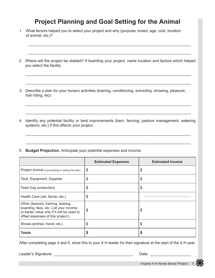### **Project Planning and Goal Setting for the Animal**

- 1. What factors helped you to select your project and why (purpose, breed, age, cost, location of animal, etc.)?
- 2. Where will the project be stabled? If boarding your project, name location and factors which helped you select the facility.

\_\_\_\_\_\_\_\_\_\_\_\_\_\_\_\_\_\_\_\_\_\_\_\_\_\_\_\_\_\_\_\_\_\_\_\_\_\_\_\_\_\_\_\_\_\_\_\_\_\_\_\_\_\_\_\_\_\_\_\_\_\_\_\_\_\_\_\_\_\_\_\_\_\_\_\_\_

\_\_\_\_\_\_\_\_\_\_\_\_\_\_\_\_\_\_\_\_\_\_\_\_\_\_\_\_\_\_\_\_\_\_\_\_\_\_\_\_\_\_\_\_\_\_\_\_\_\_\_\_\_\_\_\_\_\_\_\_\_\_\_\_\_\_\_\_\_\_\_\_\_\_\_\_\_

\_\_\_\_\_\_\_\_\_\_\_\_\_\_\_\_\_\_\_\_\_\_\_\_\_\_\_\_\_\_\_\_\_\_\_\_\_\_\_\_\_\_\_\_\_\_\_\_\_\_\_\_\_\_\_\_\_\_\_\_\_\_\_\_\_\_\_\_\_\_\_\_\_\_\_\_\_

\_\_\_\_\_\_\_\_\_\_\_\_\_\_\_\_\_\_\_\_\_\_\_\_\_\_\_\_\_\_\_\_\_\_\_\_\_\_\_\_\_\_\_\_\_\_\_\_\_\_\_\_\_\_\_\_\_\_\_\_\_\_\_\_\_\_\_\_\_\_\_\_\_\_\_\_\_

\_\_\_\_\_\_\_\_\_\_\_\_\_\_\_\_\_\_\_\_\_\_\_\_\_\_\_\_\_\_\_\_\_\_\_\_\_\_\_\_\_\_\_\_\_\_\_\_\_\_\_\_\_\_\_\_\_\_\_\_\_\_\_\_\_\_\_\_\_\_\_\_\_\_\_\_

\_\_\_\_\_\_\_\_\_\_\_\_\_\_\_\_\_\_\_\_\_\_\_\_\_\_\_\_\_\_\_\_\_\_\_\_\_\_\_\_\_\_\_\_\_\_\_\_\_\_\_\_\_\_\_\_\_\_\_\_\_\_\_\_\_\_\_\_\_\_\_\_\_\_\_\_

- 3. Describe a plan for your horse's activities (training, conditioning, schooling, showing, pleasure, trail riding, etc):
- 4. Identify any potential facility or land improvements (barn, fencing, pasture management, watering systems, etc.) if this affects your project.

\_\_\_\_\_\_\_\_\_\_\_\_\_\_\_\_\_\_\_\_\_\_\_\_\_\_\_\_\_\_\_\_\_\_\_\_\_\_\_\_\_\_\_\_\_\_\_\_\_\_\_\_\_\_\_\_\_\_\_\_\_\_\_\_\_\_\_\_\_\_\_\_\_\_\_\_\_

\_\_\_\_\_\_\_\_\_\_\_\_\_\_\_\_\_\_\_\_\_\_\_\_\_\_\_\_\_\_\_\_\_\_\_\_\_\_\_\_\_\_\_\_\_\_\_\_\_\_\_\_\_\_\_\_\_\_\_\_\_\_\_\_\_\_\_\_\_\_\_\_\_\_\_\_\_

5. **Budget Projection.** Anticipate your potential expenses and income.

|                                                                                                                                                                | <b>Estimated Expenses</b> | <b>Estimated Income</b> |
|----------------------------------------------------------------------------------------------------------------------------------------------------------------|---------------------------|-------------------------|
| Project Animal (if purchasing or selling this year)                                                                                                            | \$                        | \$                      |
| Tack, Equipment, Supplies                                                                                                                                      | \$                        | \$                      |
| Feed (hay production)                                                                                                                                          | \$                        | \$                      |
| Health Care (vet, farrier, etc.)                                                                                                                               | \$                        |                         |
| Other (lessons, training, leasing,<br>boarding, fees, etc. List your income<br>or barter value only if it will be used to<br>offset expenses of this project.) | \$                        | \$                      |
| Shows (entries, travel, etc.)                                                                                                                                  | \$                        | \$                      |
| <b>Totals</b>                                                                                                                                                  | \$                        | S                       |

After completing page 4 and 5, show this to your 4-H leader for their signature at the start of the 4-H year.

Leader's Signature: \_\_\_\_\_\_\_\_\_\_\_\_\_\_\_\_\_\_\_\_\_\_\_\_\_\_\_\_\_\_\_\_\_\_\_\_\_ Date: \_\_\_\_\_\_\_\_\_\_\_\_\_\_\_\_\_\_\_

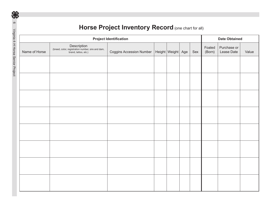|               |                                                                                          | <b>Project Identification</b>                    |  |     |                  | <b>Date Obtained</b>      |       |  |
|---------------|------------------------------------------------------------------------------------------|--------------------------------------------------|--|-----|------------------|---------------------------|-------|--|
| Name of Horse | Description<br>(breed, color, registration number, sire and dam,<br>brand, tattoo, etc.) | Coggins Accession Number   Height   Weight   Age |  | Sex | Foaled<br>(Born) | Purchase or<br>Lease Date | Value |  |
|               |                                                                                          |                                                  |  |     |                  |                           |       |  |
|               |                                                                                          |                                                  |  |     |                  |                           |       |  |
|               |                                                                                          |                                                  |  |     |                  |                           |       |  |
|               |                                                                                          |                                                  |  |     |                  |                           |       |  |
|               |                                                                                          |                                                  |  |     |                  |                           |       |  |
|               |                                                                                          |                                                  |  |     |                  |                           |       |  |
|               |                                                                                          |                                                  |  |     |                  |                           |       |  |
|               |                                                                                          |                                                  |  |     |                  |                           |       |  |
|               |                                                                                          |                                                  |  |     |                  |                           |       |  |
|               |                                                                                          |                                                  |  |     |                  |                           |       |  |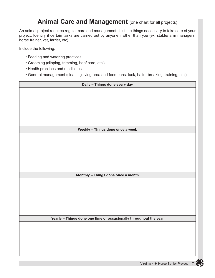#### **Animal Care and Management** (one chart for all projects)

An animal project requires regular care and management. List the things necessary to take care of your project. Identify if certain tasks are carried out by anyone if other than you (ex: stable/farm managers, horse trainer, vet, farrier, etc).

Include the following:

- Feeding and watering practices
- Grooming (clipping, trimming, hoof care, etc.)
- Health practices and medicines
- General management (cleaning living area and feed pans, tack, halter breaking, training, etc.)

| Daily - Things done every day                                     |  |  |  |
|-------------------------------------------------------------------|--|--|--|
|                                                                   |  |  |  |
|                                                                   |  |  |  |
|                                                                   |  |  |  |
|                                                                   |  |  |  |
|                                                                   |  |  |  |
|                                                                   |  |  |  |
| Weekly - Things done once a week                                  |  |  |  |
|                                                                   |  |  |  |
|                                                                   |  |  |  |
|                                                                   |  |  |  |
|                                                                   |  |  |  |
|                                                                   |  |  |  |
|                                                                   |  |  |  |
| Monthly - Things done once a month                                |  |  |  |
|                                                                   |  |  |  |
|                                                                   |  |  |  |
|                                                                   |  |  |  |
|                                                                   |  |  |  |
|                                                                   |  |  |  |
| Yearly - Things done one time or occasionally throughout the year |  |  |  |
|                                                                   |  |  |  |
|                                                                   |  |  |  |
|                                                                   |  |  |  |
|                                                                   |  |  |  |
|                                                                   |  |  |  |
|                                                                   |  |  |  |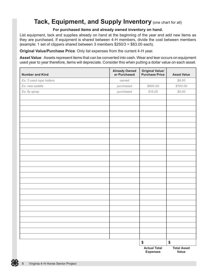### **Tack, Equipment, and Supply Inventory** (one chart for all)

#### **For purchased items and already owned inventory on hand.**

List equipment, tack and supplies already on hand at the beginning of the year and add new items as they are purchased. If equipment is shared between 4-H members, divide the cost between members (example: 1 set of clippers shared between 3 members \$250/3 = \$83.00 each).

**Original Value/Purchase Price**: Only list expenses from the current 4-H year.

**Asset Value**: Assets represent items that can be converted into cash. Wear and tear occurs on equipment used year to year therefore, items will depreciate. Consider this when putting a dollar value on each asset.

| <b>Number and Kind</b>  | <b>Already Owned<br/>or Purchased</b> | <b>Original Value/<br/>Purchase Price</b> | <b>Asset Value</b>          |
|-------------------------|---------------------------------------|-------------------------------------------|-----------------------------|
| Ex: 3 used rope halters | owned                                 |                                           | \$9.00                      |
| Ex: new saddle          | purchased                             | \$800.00                                  | \$700.00                    |
| Ex: fly spray           | purchased                             | \$15.00                                   | \$0.00                      |
|                         |                                       |                                           |                             |
|                         |                                       |                                           |                             |
|                         |                                       |                                           |                             |
|                         |                                       |                                           |                             |
|                         |                                       |                                           |                             |
|                         |                                       |                                           |                             |
|                         |                                       |                                           |                             |
|                         |                                       |                                           |                             |
|                         |                                       |                                           |                             |
|                         |                                       |                                           |                             |
|                         |                                       |                                           |                             |
|                         |                                       |                                           |                             |
|                         |                                       |                                           |                             |
|                         |                                       |                                           |                             |
|                         |                                       |                                           |                             |
|                         |                                       |                                           |                             |
|                         |                                       |                                           |                             |
|                         |                                       |                                           |                             |
|                         |                                       |                                           |                             |
|                         |                                       |                                           |                             |
|                         |                                       |                                           |                             |
|                         |                                       |                                           |                             |
|                         |                                       |                                           |                             |
|                         |                                       |                                           |                             |
|                         |                                       |                                           |                             |
|                         |                                       |                                           |                             |
|                         |                                       | \$                                        | \$                          |
|                         |                                       | <b>Actual Total</b><br><b>Expenses</b>    | <b>Total Asset</b><br>Value |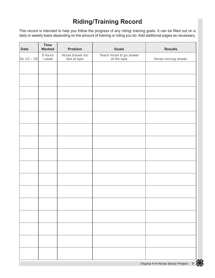### **Riding/Training Record**

This record is intended to help you follow the progress of any riding/ training goals. It can be filled out on a daily or weekly basis depending on the amount of training or riding you do. Add additional pages as necessary.

| <b>Date</b>   | <b>Time</b><br>Worked | Problem                           | Goals                                   | <b>Results</b>       |
|---------------|-----------------------|-----------------------------------|-----------------------------------------|----------------------|
| Ex: 1/2 - 1/9 | 6 hours<br>$/$ week   | Horse travels too<br>fast at lope | Teach horse to go slower<br>at the lope | Horse moving slower. |
|               |                       |                                   |                                         |                      |
|               |                       |                                   |                                         |                      |
|               |                       |                                   |                                         |                      |
|               |                       |                                   |                                         |                      |
|               |                       |                                   |                                         |                      |
|               |                       |                                   |                                         |                      |
|               |                       |                                   |                                         |                      |
|               |                       |                                   |                                         |                      |
|               |                       |                                   |                                         |                      |
|               |                       |                                   |                                         |                      |
|               |                       |                                   |                                         |                      |
|               |                       |                                   |                                         |                      |
|               |                       |                                   |                                         |                      |
|               |                       |                                   |                                         |                      |
|               |                       |                                   |                                         |                      |
|               |                       |                                   |                                         |                      |
|               |                       |                                   |                                         |                      |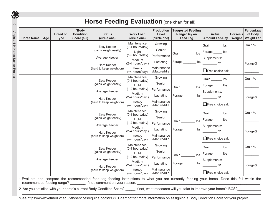| <b>Horse Name</b> | Age | <b>Breed or</b><br><b>Type</b> | *Body<br><b>Condition</b><br><b>Score (1-9)</b> | <b>Status</b><br>(circle one)                                                                     | <b>Work Load</b><br>(circle one)                                                                                   | <b>Production</b><br>Level<br>(circle one)                                   | <b>Suggested Feeding</b><br>Range/Day on<br><b>Feed Tag</b> | <b>Actual</b><br><b>Amount Fed/Day</b>                                                         | Horses's<br>Weight | Percentage<br>of Body<br><b>Weight Fed</b> |
|-------------------|-----|--------------------------------|-------------------------------------------------|---------------------------------------------------------------------------------------------------|--------------------------------------------------------------------------------------------------------------------|------------------------------------------------------------------------------|-------------------------------------------------------------|------------------------------------------------------------------------------------------------|--------------------|--------------------------------------------|
|                   |     |                                |                                                 | Easy Keeper<br>(gains weight easily)<br>Average Keeper<br>Hard Keeper<br>(hard to keep weight on) | Maintenance<br>(0-1 hours/day)<br>Light<br>(1-2 hours/day)<br>Medium<br>(2-4 hours/day)<br>Heavy                   | Growing<br>Senior<br>Performance<br>Lactating<br>Maintenance                 | Ibs<br>Forage ________ lbs                                  | Grain _______ lbs<br>Forage ______ lbs<br>Supplements:<br><b>OZ</b>                            |                    | Grain %<br>Forage%                         |
|                   |     |                                |                                                 | Easy Keeper<br>(gains weight easily)                                                              | (+4 hours/day)<br>Maintenance<br>(0-1 hours/day)<br>Light                                                          | /Mature/Idle<br>Growing<br>Senior                                            | lbs<br>Grain                                                | $\Box$ Free choice salt<br>Grain lbs<br>Forage ______ lbs                                      |                    | Grain %                                    |
|                   |     |                                |                                                 | Average Keeper<br><b>Hard Keeper</b><br>(hard to keep weight on)                                  | $(1-2$ hours/day)<br>Medium<br>(2-4 hours/day)<br>Heavy<br>$(+4$ hours/day)                                        | Performance<br>Lactating<br>Maintenance<br>/Mature/Idle                      | $\mathsf{lbs}$<br>Forage ______                             | Supplements:<br>Free choice salt                                                               |                    | Forage%                                    |
|                   |     |                                |                                                 | Easy Keeper<br>(gains weight easily)<br>Average Keeper<br>Hard Keeper<br>(hard to keep weight on) | Maintenance<br>(0-1 hours/day)<br>Light<br>(1-2 hours/day)<br>Medium<br>(2-4 hours/day)<br>Heavy<br>(+4 hours/day) | Growing<br>Senior<br>Performance<br>Lactating<br>Maintenance<br>/Mature/Idle | Grain <u>Landon</u><br>Ibs<br>Forage<br>lbs                 | Grain _______ lbs<br>Forage ______ lbs<br>Supplements:<br><b>OZ</b><br>$\Box$ Free choice salt |                    | Grain %<br>Forage%                         |
|                   |     |                                |                                                 | Easy Keeper<br>(gains weight easily)<br>Average Keeper                                            | Maintenance<br>(0-1 hours/day)<br>Light<br>(1-2 hours/day)                                                         | Growing<br>Senior<br>Performance                                             | Ibs<br>Grain ____                                           | Grain lbs<br>Forage ______ lbs<br>Supplements:                                                 |                    | Grain %                                    |
|                   |     |                                |                                                 | Hard Keeper<br>(hard to keep weight on)                                                           | <b>Medium</b><br>(2-4 hours/day)<br>Heavy<br>(+4 hours/day)                                                        | Lactating<br>Maintenance<br>/Mature/Idle                                     | $\mathsf{lbs}$<br>Forage                                    | $\frac{1}{\sqrt{2}}$ oz<br>Free choice salt                                                    |                    | Forage%                                    |

2. Are you satisfied with your horse's current Body Condition Score? \_\_\_\_\_ If not, what measures will you take to improve your horse's BCS?\_\_\_\_\_\_\_\_\_\_\_

\*See https://www.vetmed.vt.edu/vth/services/equine/docs/BCS\_Chart.pdf for more information on assigning a Body Condition Score for your project.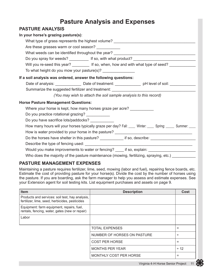### **Pasture Analysis and Expenses**

#### **PASTURE ANALYSIS**

| In your horse's grazing pasture(s):             |                                                                                                                |  |  |  |  |  |  |
|-------------------------------------------------|----------------------------------------------------------------------------------------------------------------|--|--|--|--|--|--|
|                                                 | What type of grass represents the highest volume? ______________________________                               |  |  |  |  |  |  |
| Are these grasses warm or cool season?          |                                                                                                                |  |  |  |  |  |  |
|                                                 | What weeds can be identified throughout the year? _______________________________                              |  |  |  |  |  |  |
|                                                 | Do you spray for weeds? ___________ If so, with what product? ___________________                              |  |  |  |  |  |  |
|                                                 | Will you re-seed this year? ___________ If so, when, how and with what type of seed? ______________            |  |  |  |  |  |  |
|                                                 | To what height do you mow your pasture(s)? __________________                                                  |  |  |  |  |  |  |
|                                                 | If a soil analysis was ordered, answer the following questions:                                                |  |  |  |  |  |  |
|                                                 | Date of analysis: ____________________Date of treatment: ______________________pH level of soil: _____________ |  |  |  |  |  |  |
|                                                 | Summarize the suggested fertilizer and treatment: ______________________________                               |  |  |  |  |  |  |
|                                                 | (You may wish to attach the soil sample analysis to this record)                                               |  |  |  |  |  |  |
| <b>Horse Pasture Management Questions:</b>      |                                                                                                                |  |  |  |  |  |  |
|                                                 | Where your horse is kept, how many horses graze per acre?                                                      |  |  |  |  |  |  |
| Do you practice rotational grazing? ___________ |                                                                                                                |  |  |  |  |  |  |
| Do you have sacrifice lots/paddocks? __________ |                                                                                                                |  |  |  |  |  |  |
|                                                 | How many hours will your horses typically graze per day? Fall: ___ Winter: ___ Spring: ____ Summer: ___        |  |  |  |  |  |  |
|                                                 |                                                                                                                |  |  |  |  |  |  |
|                                                 |                                                                                                                |  |  |  |  |  |  |
|                                                 | Do the horses have shelter in this pasture? _____________ if so, describe: ________________________            |  |  |  |  |  |  |
|                                                 |                                                                                                                |  |  |  |  |  |  |
|                                                 | Would you make improvements to water or fencing? _____ if so, explain: ____________________________            |  |  |  |  |  |  |
|                                                 | Who does the majority of the pasture maintenance (mowing, fertilizing, spraying, etc.) ___________             |  |  |  |  |  |  |

#### **PASTURE MANAGEMENT EXPENSES**

Maintaining a pasture requires fertilizer, lime, seed, mowing (labor and fuel), repairing fence boards, etc. Estimate the cost of providing pasture for your horse(s). Divide the cost by the number of horses using the pasture. If you are boarding, ask the farm manager to help you assess and estimate expenses. See your Extension agent for soil testing kits. List equipment purchases and assets on page 9.

| <b>Item</b>                                                                                       | <b>Description</b>            | Cost      |
|---------------------------------------------------------------------------------------------------|-------------------------------|-----------|
| Products and services: soil test, hay analysis,<br>fertilizer, lime, seed, herbicides, pesticides |                               |           |
| Equipment: farm equipment, repairs, fuel,<br>rentals, fencing, water, gates (new or repair)       |                               |           |
| Labor                                                                                             |                               |           |
|                                                                                                   | <b>TOTAL EXPENSES</b>         | $=$       |
|                                                                                                   | NUMBER OF HORSES ON PASTURE   | ÷         |
|                                                                                                   | <b>COST PER HORSE</b>         | $=$       |
|                                                                                                   | <b>MONTHS PER YEAR</b>        | $\div$ 12 |
|                                                                                                   | <b>MONTHLY COST PER HORSE</b> | $=$       |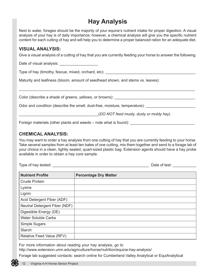### **Hay Analysis**

Next to water, forages should be the majority of your equine's nutrient intake for proper digestion. A visual analysis of your hay is of daily importance; however, a chemical analysis will give you the specific nutrient content for each cutting of hay and will help you to determine a proper balanced ration for an adequate diet.

#### **VISUAL ANALYSIS:**

Give a visual analysis of a cutting of hay that you are currently feeding your horse to answer the following.

\_\_\_\_\_\_\_\_\_\_\_\_\_\_\_\_\_\_\_\_\_\_\_\_\_\_\_\_\_\_\_\_\_\_\_\_\_\_\_\_\_\_\_\_\_\_\_\_\_\_\_\_\_\_\_\_\_\_\_\_\_\_\_\_\_\_\_\_\_\_\_\_\_\_\_\_\_\_\_\_\_\_

Date of visual analysis:

Type of hay (timothy, fescue, mixed, orchard, etc):

Maturity and leafiness (bloom, amount of seedhead shown, and stems vs. leaves):

Color (describe a shade of greens, yellows, or browns):

Odor and condition (describe the smell, dust-free, moisture, temperature):

\_\_\_\_\_\_\_\_\_\_\_\_\_\_\_\_\_\_\_\_\_\_\_\_\_\_\_\_\_\_\_\_\_\_\_\_\_(*DO NOT feed musty, dusty or moldy hay*)

Foreign materials (other plants and weeds – note what is found):

#### **CHEMICAL ANALYSIS:**

You may want to order a hay analysis from one cutting of hay that you are currently feeding to your horse. Take several samples from at least ten bales of one cutting, mix them together and send to a forage lab of your choice in a clean, tightly sealed, quart-sized plastic bag. Extension agents should have a hay probe available in order to obtain a hay core sample.

Type of hay tested: \_\_\_\_\_\_\_\_\_\_\_\_\_\_\_\_\_\_\_\_\_\_\_\_\_\_\_\_\_\_\_\_\_\_\_\_\_\_\_\_\_\_\_\_\_ Date of test: \_\_\_\_\_\_\_\_\_\_\_

| <b>Nutrient Profile</b>       | <b>Percentage Dry Matter</b> |
|-------------------------------|------------------------------|
| <b>Crude Protein</b>          |                              |
| Lysine                        |                              |
| Lignin                        |                              |
| Acid Detergent Fiber (ADF)    |                              |
| Neutral Detergent Fiber (NDF) |                              |
| Digestible Energy (DE)        |                              |
| <b>Water Soluble Carbs</b>    |                              |
| Simple Sugars                 |                              |
| <b>Starch</b>                 |                              |
| Relative Feed Value (RFV)     |                              |

For more information about reading your hay analysis, go to

<http://www.extension.umn.edu/agriculture/horse/nutrition/equine-hay-analysis/>

Forage lab suggested contacts: search online for Cumberland Valley Analytical or EquiAnalytical

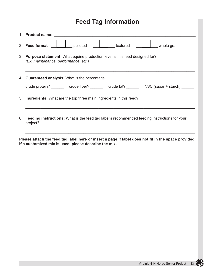### **Feed Tag Information**

| 1. Product name: with the contract of the contract of the contract of the contract of the contract of the contract of the contract of the contract of the contract of the contract of the contract of the contract of the cont |  |  |  |  |  |  |  |  |
|--------------------------------------------------------------------------------------------------------------------------------------------------------------------------------------------------------------------------------|--|--|--|--|--|--|--|--|
| pelleted<br>2. Feed format:<br>textured<br>whole grain                                                                                                                                                                         |  |  |  |  |  |  |  |  |
| 3. Purpose statement: What equine production level is this feed designed for?<br>(Ex. maintenance, performance, etc.)                                                                                                          |  |  |  |  |  |  |  |  |
| 4. Guaranteed analysis: What is the percentage                                                                                                                                                                                 |  |  |  |  |  |  |  |  |
| crude protein? _________ crude fiber? ________ crude fat? _______ NSC (sugar + starch) ______                                                                                                                                  |  |  |  |  |  |  |  |  |
| 5. Ingredients: What are the top three main ingredients in this feed?                                                                                                                                                          |  |  |  |  |  |  |  |  |
| 6. Feeding instructions: What is the feed tag label's recommended feeding instructions for your<br>project?                                                                                                                    |  |  |  |  |  |  |  |  |

**Please attach the feed tag label here or insert a page if label does not fit in the space provided. If a customized mix is used, please describe the mix.**

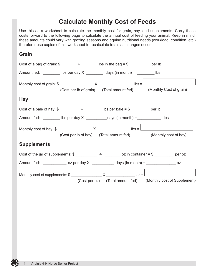#### **Calculate Monthly Cost of Feeds**

Use this as a worksheet to calculate the monthly cost for grain, hay, and supplements. Carry these costs forward to the following page to calculate the annual cost of feeding your animal. Keep in mind, these amounts could vary with grazing seasons and equine nutritional needs (workload, condition, etc.) therefore, use copies of this worksheet to recalculate totals as changes occur.

#### **Grain**

|                    | Cost of a bag of grain: $\frac{2}{3}$ $\frac{1}{2}$ $\frac{1}{2}$ $\frac{1}{2}$ lbs in the bag = $\frac{2}{3}$ $\frac{1}{2}$ per lb                                                                                                                                                                                                                                                                                    |                                                                                                                              |
|--------------------|------------------------------------------------------------------------------------------------------------------------------------------------------------------------------------------------------------------------------------------------------------------------------------------------------------------------------------------------------------------------------------------------------------------------|------------------------------------------------------------------------------------------------------------------------------|
|                    | Amount fed: $\frac{1}{\sqrt{1-\frac{1}{\sqrt{1-\frac{1}{\sqrt{1-\frac{1}{\sqrt{1-\frac{1}{\sqrt{1-\frac{1}{\sqrt{1-\frac{1}{\sqrt{1-\frac{1}{\sqrt{1-\frac{1}{\sqrt{1-\frac{1}{\sqrt{1-\frac{1}{\sqrt{1-\frac{1}{\sqrt{1-\frac{1}{\sqrt{1-\frac{1}{\sqrt{1-\frac{1}{\sqrt{1-\frac{1}{\sqrt{1-\frac{1}{\sqrt{1-\frac{1}{\sqrt{1-\frac{1}{\sqrt{1-\frac{1}{\sqrt{1-\frac{1}{\sqrt{1-\frac{1}{\sqrt{1-\frac{1}{\sqrt{1-\$ |                                                                                                                              |
|                    |                                                                                                                                                                                                                                                                                                                                                                                                                        | (Cost per lb of grain) (Total amount fed) (Monthly Cost of grain)                                                            |
| <b>Hay</b>         |                                                                                                                                                                                                                                                                                                                                                                                                                        |                                                                                                                              |
|                    | Cost of a bale of hay: $\frac{2}{3}$ $\frac{2}{3}$ $\frac{2}{3}$ $\frac{2}{3}$ lbs per bale = \$ ________ per lb                                                                                                                                                                                                                                                                                                       |                                                                                                                              |
|                    | Amount fed: $\frac{1}{\sqrt{1-\frac{1}{\sqrt{1-\frac{1}{\sqrt{1-\frac{1}{\sqrt{1-\frac{1}{\sqrt{1-\frac{1}{\sqrt{1-\frac{1}{\sqrt{1-\frac{1}{\sqrt{1-\frac{1}{\sqrt{1-\frac{1}{\sqrt{1-\frac{1}{\sqrt{1-\frac{1}{\sqrt{1-\frac{1}{\sqrt{1-\frac{1}{\sqrt{1-\frac{1}{\sqrt{1-\frac{1}{\sqrt{1-\frac{1}{\sqrt{1-\frac{1}{\sqrt{1-\frac{1}{\sqrt{1-\frac{1}{\sqrt{1-\frac{1}{\sqrt{1-\frac{1}{\sqrt{1-\frac{1}{\sqrt{1-\$ |                                                                                                                              |
|                    |                                                                                                                                                                                                                                                                                                                                                                                                                        | (Cost per lb of hay) (Total amount fed) (Monthly cost of hay)                                                                |
| <b>Supplements</b> |                                                                                                                                                                                                                                                                                                                                                                                                                        |                                                                                                                              |
|                    |                                                                                                                                                                                                                                                                                                                                                                                                                        | Cost of the jar of supplements: $\frac{2}{3}$ $\frac{2}{3}$ $\frac{2}{3}$ $\frac{2}{3}$ oz in container = \$ ________ per oz |
|                    | Amount fed: ________________ oz per day $X$ ____________ days (in month) = __________________ oz                                                                                                                                                                                                                                                                                                                       |                                                                                                                              |
|                    |                                                                                                                                                                                                                                                                                                                                                                                                                        | (Cost per oz) (Total amount fed) (Monthly cost of Supplement)                                                                |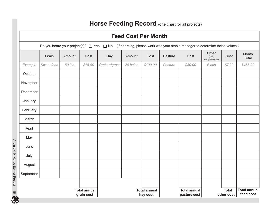### **Horse Feeding Record** (one chart for all projects)

|                                   | <b>Feed Cost Per Month</b>                                                                                                        |         |         |              |                                 |          |                                     |         |                                 |                                  |                |
|-----------------------------------|-----------------------------------------------------------------------------------------------------------------------------------|---------|---------|--------------|---------------------------------|----------|-------------------------------------|---------|---------------------------------|----------------------------------|----------------|
|                                   | Do you board your project(s)? $\Box$ Yes $\Box$ No (If boarding, please work with your stable manager to determine these values.) |         |         |              |                                 |          |                                     |         |                                 |                                  |                |
|                                   | Grain                                                                                                                             | Amount  | Cost    | Hay          | Amount                          | Cost     | Pasture                             | Cost    | Other<br>(salt,<br>supplements) | Cost                             | Month<br>Total |
| Example                           | Sweet feed                                                                                                                        | 50 lbs. | \$18.00 | Orchardgrass | 20 bales                        | \$100.00 | Pasture                             | \$30.00 | <b>Biotin</b>                   | \$7.00                           | \$155.00       |
| October                           |                                                                                                                                   |         |         |              |                                 |          |                                     |         |                                 |                                  |                |
| November                          |                                                                                                                                   |         |         |              |                                 |          |                                     |         |                                 |                                  |                |
| December                          |                                                                                                                                   |         |         |              |                                 |          |                                     |         |                                 |                                  |                |
| January                           |                                                                                                                                   |         |         |              |                                 |          |                                     |         |                                 |                                  |                |
| February                          |                                                                                                                                   |         |         |              |                                 |          |                                     |         |                                 |                                  |                |
| March                             |                                                                                                                                   |         |         |              |                                 |          |                                     |         |                                 |                                  |                |
| April                             |                                                                                                                                   |         |         |              |                                 |          |                                     |         |                                 |                                  |                |
| May                               |                                                                                                                                   |         |         |              |                                 |          |                                     |         |                                 |                                  |                |
| June                              |                                                                                                                                   |         |         |              |                                 |          |                                     |         |                                 |                                  |                |
| July                              |                                                                                                                                   |         |         |              |                                 |          |                                     |         |                                 |                                  |                |
| August                            |                                                                                                                                   |         |         |              |                                 |          |                                     |         |                                 |                                  |                |
| September                         |                                                                                                                                   |         |         |              |                                 |          |                                     |         |                                 |                                  |                |
|                                   |                                                                                                                                   |         |         |              |                                 |          |                                     |         |                                 |                                  |                |
| <b>Total annual</b><br>grain cost |                                                                                                                                   |         |         |              | <b>Total annual</b><br>hay cost |          | <b>Total annual</b><br>pasture cost |         | <b>Total</b><br>other cost      | <b>Total annual</b><br>feed cost |                |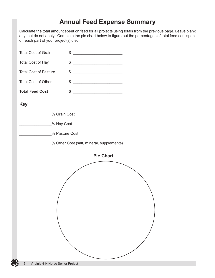### **Annual Feed Expense Summary**

Calculate the total amount spent on feed for all projects using totals from the previous page. Leave blank any that do not apply. Complete the pie chart below to figure out the percentages of total feed cost spent on each part of your project(s) diet.

| <b>Total Cost of Grain</b>   | \$<br><u> 1989 - Johann John Stone, martin de Brasil</u> |  |
|------------------------------|----------------------------------------------------------|--|
| <b>Total Cost of Hay</b>     | <u> 2008 - Johann John Stone, mars et al. (</u><br>\$    |  |
| <b>Total Cost of Pasture</b> | \$                                                       |  |
| <b>Total Cost of Other</b>   | \$<br><u> 1989 - Johann Barbara, martxa a</u>            |  |
| <b>Total Feed Cost</b>       | \$                                                       |  |
| <b>Key</b>                   |                                                          |  |
|                              | % Grain Cost                                             |  |
| ________________% Hay Cost   |                                                          |  |
|                              | % Pasture Cost                                           |  |
|                              | % Other Cost (salt, mineral, supplements)                |  |
|                              | <b>Pie Chart</b>                                         |  |
|                              |                                                          |  |
|                              |                                                          |  |
|                              |                                                          |  |
|                              |                                                          |  |
|                              |                                                          |  |
|                              |                                                          |  |
|                              |                                                          |  |
|                              |                                                          |  |
|                              |                                                          |  |
|                              |                                                          |  |
|                              |                                                          |  |
|                              |                                                          |  |
|                              |                                                          |  |
|                              |                                                          |  |
|                              |                                                          |  |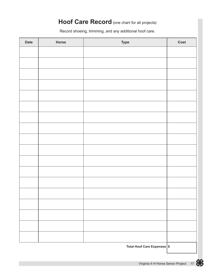#### **Hoof Care Record** (one chart for all projects)

Record shoeing, trimming, and any additional hoof care.

| <b>Date</b> | Horse | <b>Type</b>                 | Cost |
|-------------|-------|-----------------------------|------|
|             |       |                             |      |
|             |       |                             |      |
|             |       |                             |      |
|             |       |                             |      |
|             |       |                             |      |
|             |       |                             |      |
|             |       |                             |      |
|             |       |                             |      |
|             |       |                             |      |
|             |       |                             |      |
|             |       |                             |      |
|             |       |                             |      |
|             |       |                             |      |
|             |       |                             |      |
|             |       |                             |      |
|             |       |                             |      |
|             |       |                             |      |
|             |       |                             |      |
|             |       |                             |      |
|             |       | Total Hoof Care Expenses \$ |      |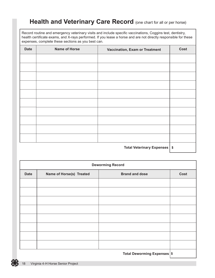#### **Health and Veterinary Care Record** (one chart for all or per horse)

Record routine and emergency veterinary visits and include specific vaccinations, Coggins test, dentistry, health certificate exams, and X-rays performed. If you lease a horse and are not directly responsible for these expenses, complete these sections as you best can.

| <b>Date</b> | <b>Name of Horse</b> | <b>Vaccination, Exam or Treatment</b> | <b>Cost</b> |
|-------------|----------------------|---------------------------------------|-------------|
|             |                      |                                       |             |
|             |                      |                                       |             |
|             |                      |                                       |             |
|             |                      |                                       |             |
|             |                      |                                       |             |
|             |                      |                                       |             |
|             |                      |                                       |             |
|             |                      |                                       |             |
|             |                      |                                       |             |
|             |                      |                                       |             |
|             |                      | Total Veterinary Expenses   \$        |             |

| <b>Deworming Record</b> |                          |                             |      |  |  |
|-------------------------|--------------------------|-----------------------------|------|--|--|
| <b>Date</b>             | Name of Horse(s) Treated | <b>Brand and dose</b>       | Cost |  |  |
|                         |                          |                             |      |  |  |
|                         |                          |                             |      |  |  |
|                         |                          |                             |      |  |  |
|                         |                          |                             |      |  |  |
|                         |                          |                             |      |  |  |
|                         |                          |                             |      |  |  |
|                         |                          |                             |      |  |  |
|                         |                          |                             |      |  |  |
|                         |                          | Total Deworming Expenses \$ |      |  |  |

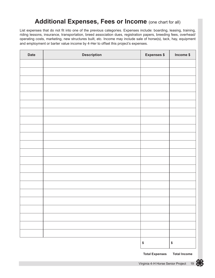#### **Additional Expenses, Fees or Income** (one chart for all)

List expenses that do not fit into one of the previous categories. Expenses include: boarding, leasing, training, riding lessons, insurance, transportation, breed association dues, registration papers, breeding fees, overhead/ operating costs, marketing, new structures built, etc. Income may include sale of horse(s), tack, hay, equipment and employment or barter value income by 4-Her to offset this project's expenses.

| <b>Date</b> | <b>Description</b> | <b>Expenses \$</b> | Income \$  |
|-------------|--------------------|--------------------|------------|
|             |                    |                    |            |
|             |                    |                    |            |
|             |                    |                    |            |
|             |                    |                    |            |
|             |                    |                    |            |
|             |                    |                    |            |
|             |                    |                    |            |
|             |                    |                    |            |
|             |                    |                    |            |
|             |                    |                    |            |
|             |                    |                    |            |
|             |                    |                    |            |
|             |                    |                    |            |
|             |                    |                    |            |
|             |                    |                    |            |
|             |                    |                    |            |
|             |                    |                    |            |
|             |                    |                    |            |
|             |                    |                    |            |
|             |                    |                    |            |
|             |                    |                    |            |
|             |                    |                    |            |
|             |                    | $\pmb{\$}$         | $\pmb{\$}$ |

**Total Expenses Total Income**

Virginia 4-H Horse Senior Project 19

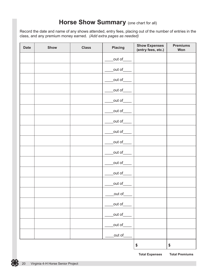#### **Horse Show Summary** (one chart for all)

Record the date and name of any shows attended, entry fees, placing out of the number of entries in the class, and any premium money earned. *(Add extra pages as needed)*

| <b>Date</b> | Show | <b>Class</b> | Placing        | <b>Show Expenses</b><br>(entry fees, etc.) | <b>Premiums</b><br>Won |
|-------------|------|--------------|----------------|--------------------------------------------|------------------------|
|             |      |              | out of         |                                            |                        |
|             |      |              | $_$ out of $_$ |                                            |                        |
|             |      |              | out of         |                                            |                        |
|             |      |              | $_$ out of $_$ |                                            |                        |
|             |      |              | _out of___     |                                            |                        |
|             |      |              | _out of_       |                                            |                        |
|             |      |              | $_$ out of $_$ |                                            |                        |
|             |      |              | $_$ out of $_$ |                                            |                        |
|             |      |              | out of         |                                            |                        |
|             |      |              | $_$ out of $_$ |                                            |                        |
|             |      |              | _out of___     |                                            |                        |
|             |      |              | out of         |                                            |                        |
|             |      |              | $_$ out of $_$ |                                            |                        |
|             |      |              | _out of_       |                                            |                        |
|             |      |              | out of_        |                                            |                        |
|             |      |              | _out of_       |                                            |                        |
|             |      |              | _out of_       |                                            |                        |
|             |      |              | _out of_       |                                            |                        |
|             |      |              |                | \$                                         | \$                     |

**Total Expenses Total Premiums**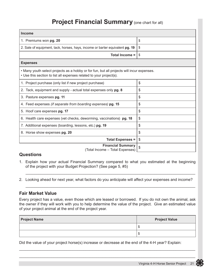#### **Project Financial Summary** (one chart for all)

| Income                                                                                                                                                           |    |
|------------------------------------------------------------------------------------------------------------------------------------------------------------------|----|
| 1. Premiums won pg. 20                                                                                                                                           | \$ |
| 2. Sale of equipment, tack, horses, hays, income or barter equivalent pg. 19                                                                                     | \$ |
| Total Income =                                                                                                                                                   | \$ |
| <b>Expenses</b>                                                                                                                                                  |    |
| • Many youth select projects as a hobby or for fun, but all projects will incur expenses.<br>• Use this section to list all expenses related to your project(s). |    |
| 1. Project purchase (only list if new project purchase)                                                                                                          | \$ |
| 2. Tack, equipment and supply - actual total expenses only pg. 8                                                                                                 | \$ |
| 3. Pasture expenses pg. 11                                                                                                                                       | \$ |
| 4. Feed expenses <i>(if separate from boarding expenses)</i> pg. 15                                                                                              | \$ |
| 5. Hoof care expenses pg. 17                                                                                                                                     | \$ |
| 6. Health care expenses (vet checks, deworming, vaccinations) pg. 18                                                                                             | \$ |
| 7. Additional expenses (boarding, lessons, etc.) pg. 19                                                                                                          | \$ |
| 8. Horse show expenses pg. 20                                                                                                                                    | \$ |
| <b>Total Expenses =</b>                                                                                                                                          | \$ |
| <b>Financial Summary</b><br>(Total Income - Total Expenses)                                                                                                      | \$ |

#### **Questions**

1. Explain how your actual Financial Summary compared to what you estimated at the beginning of the project with your Budget Projection? (See page 5, #5)

 $\overline{\phantom{a}}$  , and the contribution of the contribution of the contribution of the contribution of the contribution of the contribution of the contribution of the contribution of the contribution of the contribution of the

 $\frac{1}{2}$  ,  $\frac{1}{2}$  ,  $\frac{1}{2}$  ,  $\frac{1}{2}$  ,  $\frac{1}{2}$  ,  $\frac{1}{2}$  ,  $\frac{1}{2}$  ,  $\frac{1}{2}$  ,  $\frac{1}{2}$  ,  $\frac{1}{2}$  ,  $\frac{1}{2}$  ,  $\frac{1}{2}$  ,  $\frac{1}{2}$  ,  $\frac{1}{2}$  ,  $\frac{1}{2}$  ,  $\frac{1}{2}$  ,  $\frac{1}{2}$  ,  $\frac{1}{2}$  ,  $\frac{1$ 

2. Looking ahead for next year, what factors do you anticipate will affect your expenses and income?

#### **Fair Market Value**

Every project has a value, even those which are leased or borrowed. If you do not own the animal, ask the owner if they will work with you to help determine the value of the project. Give an estimated value of your project animal at the end of the project year.

| <b>Project Name</b> | <b>Project Value</b> |
|---------------------|----------------------|
|                     | -412                 |
|                     | -412                 |

\_\_\_\_\_\_\_\_\_\_\_\_\_\_\_\_\_\_\_\_\_\_\_\_\_\_\_\_\_\_\_\_\_\_\_\_\_\_\_\_\_\_\_\_\_\_\_\_\_\_\_\_\_\_\_\_\_\_\_\_\_\_\_\_\_\_\_\_\_\_\_\_\_\_\_\_\_\_\_\_\_\_

Did the value of your project horse(s) increase or decrease at the end of the 4-H year? Explain:

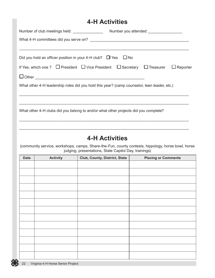#### **4-H Activities**

| Did you hold an officer position in your 4-H club? $\Box$ Yes $\Box$ No                      |                 |  |  |  |  |  |  |  |
|----------------------------------------------------------------------------------------------|-----------------|--|--|--|--|--|--|--|
| If Yes, which one ? $\Box$ President $\Box$ Vice President $\Box$ Secretary $\Box$ Treasurer | $\Box$ Reporter |  |  |  |  |  |  |  |
| $\Box$ Other $\_\_$                                                                          |                 |  |  |  |  |  |  |  |
| What other 4-H leadership roles did you hold this year? (camp counselor, teen leader, etc.)  |                 |  |  |  |  |  |  |  |
|                                                                                              |                 |  |  |  |  |  |  |  |
| What other 4-H clubs did you belong to and/or what other projects did you complete?          |                 |  |  |  |  |  |  |  |
|                                                                                              |                 |  |  |  |  |  |  |  |

### **4-H Activities**

(community service, workshops, camps, Share-the-Fun, county contests, hippology, horse bowl, horse judging, presentations, State Capitol Day, trainings)

| <b>Date</b> | <b>Activity</b> | Club, County, District, State | <b>Placing or Comments</b> |
|-------------|-----------------|-------------------------------|----------------------------|
|             |                 |                               |                            |
|             |                 |                               |                            |
|             |                 |                               |                            |
|             |                 |                               |                            |
|             |                 |                               |                            |
|             |                 |                               |                            |
|             |                 |                               |                            |
|             |                 |                               |                            |
|             |                 |                               |                            |
|             |                 |                               |                            |
|             |                 |                               |                            |
|             |                 |                               |                            |
|             |                 |                               |                            |
|             |                 |                               |                            |
|             |                 |                               |                            |
|             |                 |                               |                            |
|             |                 |                               |                            |
|             |                 |                               |                            |
|             |                 |                               |                            |
|             |                 |                               |                            |
|             |                 |                               |                            |
|             |                 |                               |                            |
|             |                 |                               |                            |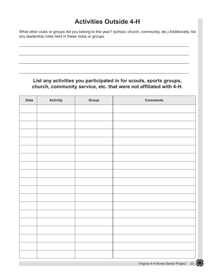### **Activities Outside 4-H**

What other clubs or groups did you belong to this year? (school, church, community, etc.) Additionally, list any leadership roles held in these clubs or groups.

\_\_\_\_\_\_\_\_\_\_\_\_\_\_\_\_\_\_\_\_\_\_\_\_\_\_\_\_\_\_\_\_\_\_\_\_\_\_\_\_\_\_\_\_\_\_\_\_\_\_\_\_\_\_\_\_\_\_\_\_\_\_\_\_\_\_\_\_\_\_\_\_\_\_\_\_\_\_\_

\_\_\_\_\_\_\_\_\_\_\_\_\_\_\_\_\_\_\_\_\_\_\_\_\_\_\_\_\_\_\_\_\_\_\_\_\_\_\_\_\_\_\_\_\_\_\_\_\_\_\_\_\_\_\_\_\_\_\_\_\_\_\_\_\_\_\_\_\_\_\_\_\_\_\_\_\_\_\_

\_\_\_\_\_\_\_\_\_\_\_\_\_\_\_\_\_\_\_\_\_\_\_\_\_\_\_\_\_\_\_\_\_\_\_\_\_\_\_\_\_\_\_\_\_\_\_\_\_\_\_\_\_\_\_\_\_\_\_\_\_\_\_\_\_\_\_\_\_\_\_\_\_\_\_\_\_\_\_

\_\_\_\_\_\_\_\_\_\_\_\_\_\_\_\_\_\_\_\_\_\_\_\_\_\_\_\_\_\_\_\_\_\_\_\_\_\_\_\_\_\_\_\_\_\_\_\_\_\_\_\_\_\_\_\_\_\_\_\_\_\_\_\_\_\_\_\_\_\_\_\_\_\_\_\_\_\_\_

#### **List any activities you participated in for scouts, sports groups, church, community service, etc. that were not affiliated with 4-H.**

| <b>Date</b> | <b>Activity</b> | Group | <b>Comments</b> |
|-------------|-----------------|-------|-----------------|
|             |                 |       |                 |
|             |                 |       |                 |
|             |                 |       |                 |
|             |                 |       |                 |
|             |                 |       |                 |
|             |                 |       |                 |
|             |                 |       |                 |
|             |                 |       |                 |
|             |                 |       |                 |
|             |                 |       |                 |
|             |                 |       |                 |
|             |                 |       |                 |
|             |                 |       |                 |
|             |                 |       |                 |
|             |                 |       |                 |
|             |                 |       |                 |
|             |                 |       |                 |
|             |                 |       |                 |
|             |                 |       |                 |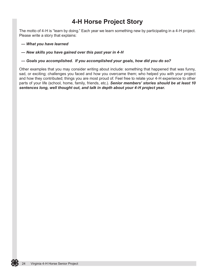### **4-H Horse Project Story**

The motto of 4-H is "learn by doing." Each year we learn something new by participating in a 4-H project. Please write a story that explains:

*— What you have learned*

*— New skills you have gained over this past year in 4-H*

*— Goals you accomplished. If you accomplished your goals, how did you do so?* 

Other examples that you may consider writing about include: something that happened that was funny, sad, or exciting; challenges you faced and how you overcame them; who helped you with your project and how they contributed; things you are most proud of. Feel free to relate your 4-H experience to other parts of your life (school, home, family, friends, etc.). *Senior members' stories should be at least 10 sentences long, well thought out, and talk in depth about your 4-H project year.* 

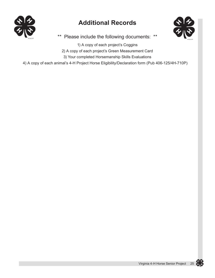

### **Additional Records**



\*\* Please include the following documents: \*\*

1) A copy of each project's Coggins

2) A copy of each project's Green Measurement Card

3) Your completed Horsemanship Skills Evaluations

4) A copy of each animal's 4-H Project Horse Eligibility/Declaration form (Pub 406-125/4H-710P)

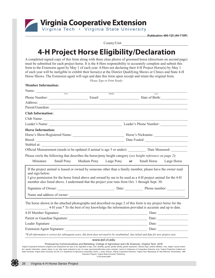

**Member Information:**

**Publication 406-125 (4H-710P)**

County/Unit

### **4-H Project Horse Eligibility/Declaration**

A completed signed copy of this form along with three clear photos of groomed horse (directions on second page) must be submitted for each project horse. It is the 4-Hers responsibility to accurately complete and submit this form to the Extension agent by May 1 of each year. 4-Hers not declaring their 4-H Project Horse(s) by May 1 of each year will be ineligible to exhibit their horse(s) at the District Qualifying Shows or Clinics and State 4-H Horse Shows. The Extension agent will sign and date this form upon receipt and retain the original form.

*Please Type or Print Neatly:*

| менноет типогниацион;                                           |                                                                                                                                                                                                                                                                                                                              |                                  |
|-----------------------------------------------------------------|------------------------------------------------------------------------------------------------------------------------------------------------------------------------------------------------------------------------------------------------------------------------------------------------------------------------------|----------------------------------|
| Name: $\frac{1}{\sqrt{1-\frac{1}{2}}\cdot\frac{1}{2}}$<br>First | Middle                                                                                                                                                                                                                                                                                                                       | Last                             |
|                                                                 |                                                                                                                                                                                                                                                                                                                              |                                  |
|                                                                 | Address: <u>Note</u> 2008. The contract of the contract of the contract of the contract of the contract of the contract of the contract of the contract of the contract of the contract of the contract of the contract of the cont                                                                                          |                                  |
|                                                                 | Parent/Guardian:                                                                                                                                                                                                                                                                                                             |                                  |
| <b>Club Information:</b>                                        |                                                                                                                                                                                                                                                                                                                              |                                  |
|                                                                 | Club Name:                                                                                                                                                                                                                                                                                                                   |                                  |
|                                                                 |                                                                                                                                                                                                                                                                                                                              |                                  |
| <b>Horse Information:</b>                                       |                                                                                                                                                                                                                                                                                                                              |                                  |
|                                                                 |                                                                                                                                                                                                                                                                                                                              |                                  |
|                                                                 |                                                                                                                                                                                                                                                                                                                              |                                  |
| Stabled at:                                                     |                                                                                                                                                                                                                                                                                                                              |                                  |
|                                                                 | Official Measurement (needs to be updated if animal is age 5 or under): Date Measured:                                                                                                                                                                                                                                       |                                  |
|                                                                 | Please circle the following that describes the horse/pony height category (see height reference on page 2):                                                                                                                                                                                                                  |                                  |
| Miniature<br>Small Pony                                         | Medium Pony Large Pony                                                                                                                                                                                                                                                                                                       | or<br>Small Horse<br>Large Horse |
| and sign below:                                                 | If the project animal is leased or owned by someone other than a family member, please have the owner read<br>I give permission for the horse listed above and owned by me to be used as a 4-H project animal for the 4-H<br>member also listed above. I understand that the project year runs from Oct. 1 through Sept. 30. |                                  |
|                                                                 |                                                                                                                                                                                                                                                                                                                              |                                  |
|                                                                 | Name and address of owner:                                                                                                                                                                                                                                                                                                   |                                  |
|                                                                 | The horse shown in the attached photographs and described on page 2 of this form is my project horse for the<br>4-H year.* To the best of my knowledge the information provided is accurate and up to date.                                                                                                                  |                                  |
|                                                                 |                                                                                                                                                                                                                                                                                                                              |                                  |
|                                                                 |                                                                                                                                                                                                                                                                                                                              |                                  |
|                                                                 |                                                                                                                                                                                                                                                                                                                              |                                  |
|                                                                 |                                                                                                                                                                                                                                                                                                                              |                                  |
|                                                                 | *If all information is correct for subsequent years, this form does not need to be resubmitted. Just initial and date for new project year.                                                                                                                                                                                  |                                  |
|                                                                 | www.ext.vt.edu                                                                                                                                                                                                                                                                                                               |                                  |

Produced by Communications and Marketing, College of Agriculture and Life Sciences, Virginia Tech, 2016

Virginia Cooperative Extension programs and employment are open to all, regardless of age, color, disability, gender, gender identity, gender expression, national origin, political affiliation, race, religion, sexual orien State University, Virginia State University, and the U.S. Department of Agriculture cooperating. Edwin J. Jones, Director, Virginia Cooperative Extension, Virginia Tech, Blacksburg; M. Ray McKinnie, Administrator, 1890 Extension Program, Virginia State University, Petersburg. VT/0316/4H-583P VT/0316/4H-583P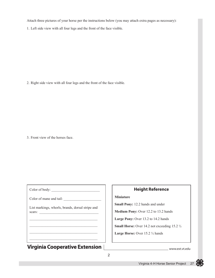Attach three pictures of your horse per the instructions below (you may attach extra pages as necessary):

1. Left side view with all four legs and the front of the face visible.

2. Right side view with all four legs and the front of the face visible.

3. Front view of the horses face.

Color of body: \_\_\_\_\_\_\_\_\_\_\_\_\_\_\_\_\_\_\_\_\_\_\_\_\_\_\_

Color of mane and tail:

List markings, whorls, brands, dorsal stripe and scars:

 $\_$  . The contribution of the contribution of  $\mathcal{L}_\mathcal{A}$  $\_$  . The contribution of the contribution of  $\mathcal{L}_\mathcal{A}$ \_\_\_\_\_\_\_\_\_\_\_\_\_\_\_\_\_\_\_\_\_\_\_\_\_\_\_\_\_\_\_\_\_\_\_\_\_\_ \_\_\_\_\_\_\_\_\_\_\_\_\_\_\_\_\_\_\_\_\_\_\_\_\_\_\_\_\_\_\_\_\_\_\_\_\_\_

#### **Virginia Cooperative Extension**

#### **Height Reference**

#### **Miniature**

**Small Pony:** 12.2 hands and under

**Medium Pony:** Over 12.2 to 13.2 hands

Large Pony: Over 13.2 to 14.2 hands

**Small Horse:** Over 14.2 not exceeding 15.2  $\frac{1}{2}$ 

**Large Horse:** Over 15.2 ½ hands

www.ext.vt.edu

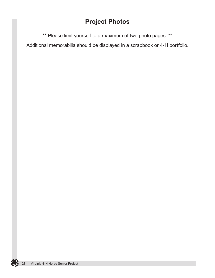### **Project Photos**

\*\* Please limit yourself to a maximum of two photo pages. \*\*

Additional memorabilia should be displayed in a scrapbook or 4-H portfolio.